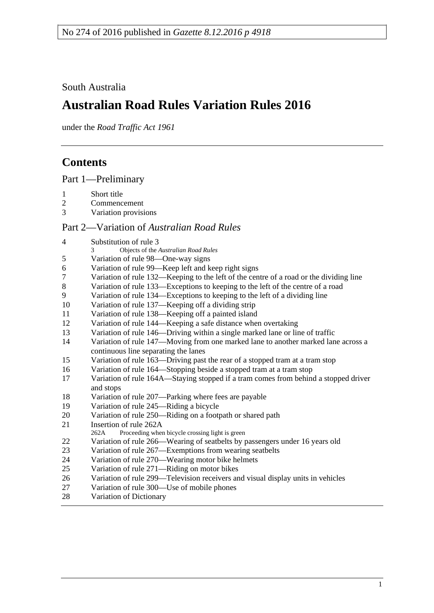South Australia

# **Australian Road Rules Variation Rules 2016**

under the *Road Traffic Act 1961*

# **Contents**

Part [1—Preliminary](#page-1-0)

- 
- [Short title](#page-1-1)<br>2 Commence [Commencement](#page-1-2)<br>3 Variation provisi
- [Variation provisions](#page-1-3)

# Part 2—Variation of *[Australian Road Rules](#page-1-4)*

| $\overline{4}$ | Substitution of rule 3                                                                 |
|----------------|----------------------------------------------------------------------------------------|
|                | Objects of the Australian Road Rules<br>3                                              |
| 5              | Variation of rule 98-One-way signs                                                     |
| 6              | Variation of rule 99—Keep left and keep right signs                                    |
| $\tau$         | Variation of rule 132—Keeping to the left of the centre of a road or the dividing line |
| 8              | Variation of rule 133—Exceptions to keeping to the left of the centre of a road        |
| 9              | Variation of rule 134—Exceptions to keeping to the left of a dividing line             |
| 10             | Variation of rule 137—Keeping off a dividing strip                                     |
| 11             | Variation of rule 138—Keeping off a painted island                                     |
| 12             | Variation of rule 144—Keeping a safe distance when overtaking                          |
| 13             | Variation of rule 146—Driving within a single marked lane or line of traffic           |
| 14             | Variation of rule 147—Moving from one marked lane to another marked lane across a      |
|                | continuous line separating the lanes                                                   |
| 15             | Variation of rule 163—Driving past the rear of a stopped tram at a tram stop           |
| 16             | Variation of rule 164-Stopping beside a stopped tram at a tram stop                    |
| 17             | Variation of rule 164A—Staying stopped if a tram comes from behind a stopped driver    |
|                | and stops                                                                              |
| 18             | Variation of rule 207—Parking where fees are payable                                   |
| 19             | Variation of rule 245—Riding a bicycle                                                 |
| 20             | Variation of rule 250—Riding on a footpath or shared path                              |
| 21             | Insertion of rule 262A                                                                 |
|                | Proceeding when bicycle crossing light is green<br>262A                                |
| 22             | Variation of rule 266—Wearing of seatbelts by passengers under 16 years old            |
| 23             | Variation of rule 267—Exemptions from wearing seatbelts                                |
| 24             | Variation of rule 270—Wearing motor bike helmets                                       |
| 25             | Variation of rule 271—Riding on motor bikes                                            |
| 26             | Variation of rule 299—Television receivers and visual display units in vehicles        |
| 27             | Variation of rule 300—Use of mobile phones                                             |
| 28             | Variation of Dictionary                                                                |
|                |                                                                                        |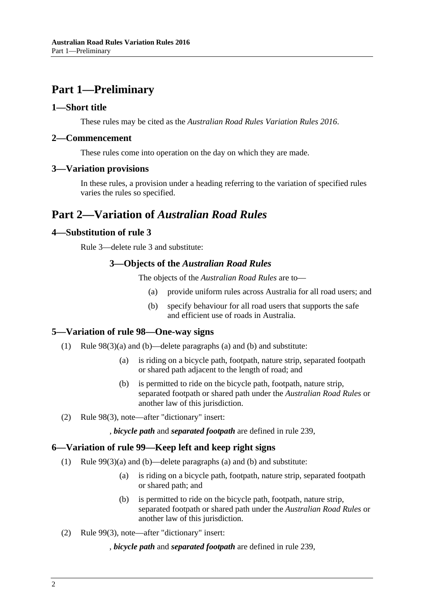# <span id="page-1-0"></span>**Part 1—Preliminary**

# <span id="page-1-1"></span>**1—Short title**

These rules may be cited as the *[Australian Road Rules Variation Rules](http://www.legislation.sa.gov.au/index.aspx?action=legref&type=subordleg&legtitle=Australian%20Road%20Rules%20Variation%20Rules%202016) 2016*.

### <span id="page-1-2"></span>**2—Commencement**

These rules come into operation on the day on which they are made.

# <span id="page-1-3"></span>**3—Variation provisions**

In these rules, a provision under a heading referring to the variation of specified rules varies the rules so specified.

# <span id="page-1-4"></span>**Part 2—Variation of** *Australian Road Rules*

# <span id="page-1-5"></span>**4—Substitution of rule 3**

Rule 3—delete rule 3 and substitute:

# **3—Objects of the** *Australian Road Rules*

The objects of the *[Australian Road Rules](http://www.legislation.sa.gov.au/index.aspx?action=legref&type=act&legtitle=Australian%20Road%20Rules)* are to—

- (a) provide uniform rules across Australia for all road users; and
- (b) specify behaviour for all road users that supports the safe and efficient use of roads in Australia.

# <span id="page-1-6"></span>**5—Variation of rule 98—One-way signs**

- (1) Rule 98(3)(a) and (b)—delete paragraphs (a) and (b) and substitute:
	- (a) is riding on a bicycle path, footpath, nature strip, separated footpath or shared path adjacent to the length of road; and
	- (b) is permitted to ride on the bicycle path, footpath, nature strip, separated footpath or shared path under the *[Australian Road Rules](http://www.legislation.sa.gov.au/index.aspx?action=legref&type=act&legtitle=Australian%20Road%20Rules)* or another law of this jurisdiction.
- (2) Rule 98(3), note—after "dictionary" insert:

, *bicycle path* and *separated footpath* are defined in rule 239,

# <span id="page-1-7"></span>**6—Variation of rule 99—Keep left and keep right signs**

- (1) Rule 99(3)(a) and (b)—delete paragraphs (a) and (b) and substitute:
	- (a) is riding on a bicycle path, footpath, nature strip, separated footpath or shared path; and
	- (b) is permitted to ride on the bicycle path, footpath, nature strip, separated footpath or shared path under the *[Australian Road Rules](http://www.legislation.sa.gov.au/index.aspx?action=legref&type=act&legtitle=Australian%20Road%20Rules)* or another law of this jurisdiction.
- (2) Rule 99(3), note—after "dictionary" insert:

# , *bicycle path* and *separated footpath* are defined in rule 239,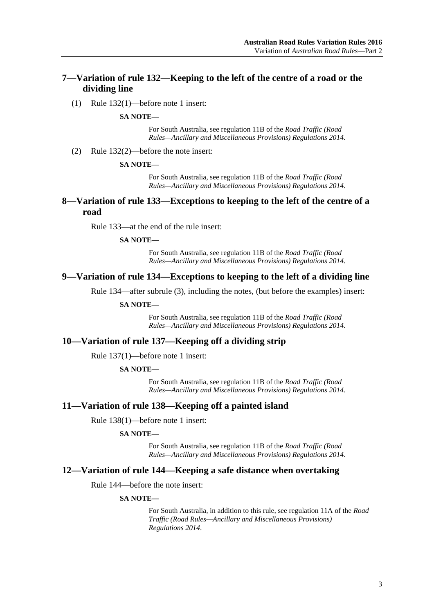# <span id="page-2-0"></span>**7—Variation of rule 132—Keeping to the left of the centre of a road or the dividing line**

(1) Rule 132(1)—before note 1 insert:

#### **SA NOTE—**

For South Australia, see regulation 11B of the *[Road Traffic \(Road](http://www.legislation.sa.gov.au/index.aspx?action=legref&type=act&legtitle=Road%20Traffic%20(Road%20Rules%E2%80%94Ancillary%20and%20Miscellaneous%20Provisions)%20Regulations%202014)  [Rules—Ancillary and Miscellaneous Provisions\) Regulations](http://www.legislation.sa.gov.au/index.aspx?action=legref&type=act&legtitle=Road%20Traffic%20(Road%20Rules%E2%80%94Ancillary%20and%20Miscellaneous%20Provisions)%20Regulations%202014) 2014*.

(2) Rule 132(2)—before the note insert:

#### **SA NOTE—**

For South Australia, see regulation 11B of the *[Road Traffic \(Road](http://www.legislation.sa.gov.au/index.aspx?action=legref&type=act&legtitle=Road%20Traffic%20(Road%20Rules%E2%80%94Ancillary%20and%20Miscellaneous%20Provisions)%20Regulations%202014)  [Rules—Ancillary and Miscellaneous Provisions\) Regulations](http://www.legislation.sa.gov.au/index.aspx?action=legref&type=act&legtitle=Road%20Traffic%20(Road%20Rules%E2%80%94Ancillary%20and%20Miscellaneous%20Provisions)%20Regulations%202014) 2014*.

### <span id="page-2-1"></span>**8—Variation of rule 133—Exceptions to keeping to the left of the centre of a road**

Rule 133—at the end of the rule insert:

#### **SA NOTE—**

For South Australia, see regulation 11B of the *[Road Traffic \(Road](http://www.legislation.sa.gov.au/index.aspx?action=legref&type=act&legtitle=Road%20Traffic%20(Road%20Rules%E2%80%94Ancillary%20and%20Miscellaneous%20Provisions)%20Regulations%202014)  [Rules—Ancillary and Miscellaneous Provisions\) Regulations](http://www.legislation.sa.gov.au/index.aspx?action=legref&type=act&legtitle=Road%20Traffic%20(Road%20Rules%E2%80%94Ancillary%20and%20Miscellaneous%20Provisions)%20Regulations%202014) 2014*.

### <span id="page-2-2"></span>**9—Variation of rule 134—Exceptions to keeping to the left of a dividing line**

Rule 134—after subrule (3), including the notes, (but before the examples) insert:

#### **SA NOTE—**

For South Australia, see regulation 11B of the *[Road Traffic \(Road](http://www.legislation.sa.gov.au/index.aspx?action=legref&type=act&legtitle=Road%20Traffic%20(Road%20Rules%E2%80%94Ancillary%20and%20Miscellaneous%20Provisions)%20Regulations%202014)  [Rules—Ancillary and Miscellaneous Provisions\) Regulations](http://www.legislation.sa.gov.au/index.aspx?action=legref&type=act&legtitle=Road%20Traffic%20(Road%20Rules%E2%80%94Ancillary%20and%20Miscellaneous%20Provisions)%20Regulations%202014) 2014*.

### <span id="page-2-3"></span>**10—Variation of rule 137—Keeping off a dividing strip**

Rule 137(1)—before note 1 insert:

#### **SA NOTE—**

For South Australia, see regulation 11B of the *[Road Traffic \(Road](http://www.legislation.sa.gov.au/index.aspx?action=legref&type=act&legtitle=Road%20Traffic%20(Road%20Rules%E2%80%94Ancillary%20and%20Miscellaneous%20Provisions)%20Regulations%202014)  [Rules—Ancillary and Miscellaneous Provisions\) Regulations](http://www.legislation.sa.gov.au/index.aspx?action=legref&type=act&legtitle=Road%20Traffic%20(Road%20Rules%E2%80%94Ancillary%20and%20Miscellaneous%20Provisions)%20Regulations%202014) 2014*.

### <span id="page-2-4"></span>**11—Variation of rule 138—Keeping off a painted island**

Rule 138(1)—before note 1 insert:

#### **SA NOTE—**

For South Australia, see regulation 11B of the *[Road Traffic \(Road](http://www.legislation.sa.gov.au/index.aspx?action=legref&type=act&legtitle=Road%20Traffic%20(Road%20Rules%E2%80%94Ancillary%20and%20Miscellaneous%20Provisions)%20Regulations%202014)  [Rules—Ancillary and Miscellaneous Provisions\) Regulations](http://www.legislation.sa.gov.au/index.aspx?action=legref&type=act&legtitle=Road%20Traffic%20(Road%20Rules%E2%80%94Ancillary%20and%20Miscellaneous%20Provisions)%20Regulations%202014) 2014*.

#### <span id="page-2-5"></span>**12—Variation of rule 144—Keeping a safe distance when overtaking**

Rule 144—before the note insert:

#### **SA NOTE—**

For South Australia, in addition to this rule, see regulation 11A of the *[Road](http://www.legislation.sa.gov.au/index.aspx?action=legref&type=act&legtitle=Road%20Traffic%20(Road%20Rules%E2%80%94Ancillary%20and%20Miscellaneous%20Provisions)%20Regulations%202014)  [Traffic \(Road Rules—Ancillary and Miscellaneous Provisions\)](http://www.legislation.sa.gov.au/index.aspx?action=legref&type=act&legtitle=Road%20Traffic%20(Road%20Rules%E2%80%94Ancillary%20and%20Miscellaneous%20Provisions)%20Regulations%202014)  [Regulations](http://www.legislation.sa.gov.au/index.aspx?action=legref&type=act&legtitle=Road%20Traffic%20(Road%20Rules%E2%80%94Ancillary%20and%20Miscellaneous%20Provisions)%20Regulations%202014) 2014*.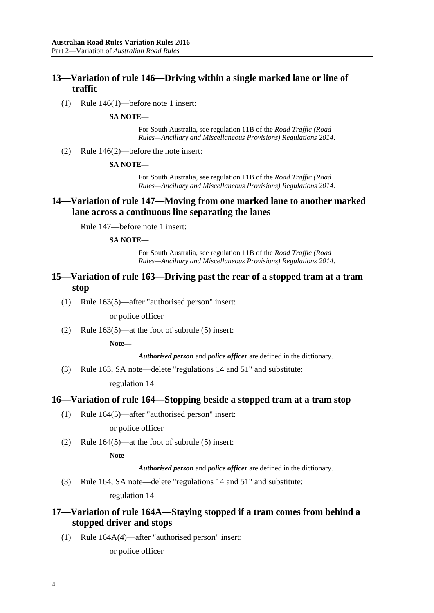# <span id="page-3-0"></span>**13—Variation of rule 146—Driving within a single marked lane or line of traffic**

(1) Rule 146(1)—before note 1 insert:

#### **SA NOTE—**

For South Australia, see regulation 11B of the *[Road Traffic \(Road](http://www.legislation.sa.gov.au/index.aspx?action=legref&type=act&legtitle=Road%20Traffic%20(Road%20Rules%E2%80%94Ancillary%20and%20Miscellaneous%20Provisions)%20Regulations%202014)  [Rules—Ancillary and Miscellaneous Provisions\) Regulations](http://www.legislation.sa.gov.au/index.aspx?action=legref&type=act&legtitle=Road%20Traffic%20(Road%20Rules%E2%80%94Ancillary%20and%20Miscellaneous%20Provisions)%20Regulations%202014) 2014*.

(2) Rule 146(2)—before the note insert:

#### **SA NOTE—**

For South Australia, see regulation 11B of the *[Road Traffic \(Road](http://www.legislation.sa.gov.au/index.aspx?action=legref&type=act&legtitle=Road%20Traffic%20(Road%20Rules%E2%80%94Ancillary%20and%20Miscellaneous%20Provisions)%20Regulations%202014)  [Rules—Ancillary and Miscellaneous Provisions\) Regulations](http://www.legislation.sa.gov.au/index.aspx?action=legref&type=act&legtitle=Road%20Traffic%20(Road%20Rules%E2%80%94Ancillary%20and%20Miscellaneous%20Provisions)%20Regulations%202014) 2014*.

### <span id="page-3-1"></span>**14—Variation of rule 147—Moving from one marked lane to another marked lane across a continuous line separating the lanes**

Rule 147—before note 1 insert:

#### **SA NOTE—**

For South Australia, see regulation 11B of the *[Road Traffic \(Road](http://www.legislation.sa.gov.au/index.aspx?action=legref&type=act&legtitle=Road%20Traffic%20(Road%20Rules%E2%80%94Ancillary%20and%20Miscellaneous%20Provisions)%20Regulations%202014)  [Rules—Ancillary and Miscellaneous Provisions\) Regulations](http://www.legislation.sa.gov.au/index.aspx?action=legref&type=act&legtitle=Road%20Traffic%20(Road%20Rules%E2%80%94Ancillary%20and%20Miscellaneous%20Provisions)%20Regulations%202014) 2014*.

### <span id="page-3-2"></span>**15—Variation of rule 163—Driving past the rear of a stopped tram at a tram stop**

(1) Rule 163(5)—after "authorised person" insert:

or police officer

(2) Rule 163(5)—at the foot of subrule (5) insert:

**Note—**

*Authorised person* and *police officer* are defined in the dictionary.

(3) Rule 163, SA note—delete "regulations 14 and 51" and substitute:

regulation 14

#### <span id="page-3-3"></span>**16—Variation of rule 164—Stopping beside a stopped tram at a tram stop**

(1) Rule 164(5)—after "authorised person" insert:

or police officer

(2) Rule 164(5)—at the foot of subrule (5) insert:

**Note—**

*Authorised person* and *police officer* are defined in the dictionary.

(3) Rule 164, SA note—delete "regulations 14 and 51" and substitute:

regulation 14

# <span id="page-3-4"></span>**17—Variation of rule 164A—Staying stopped if a tram comes from behind a stopped driver and stops**

(1) Rule 164A(4)—after "authorised person" insert:

or police officer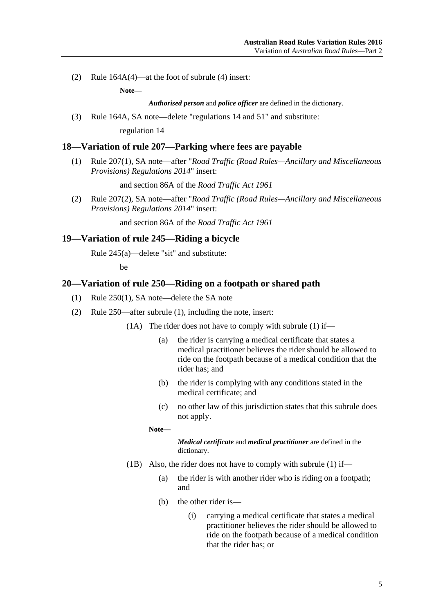(2) Rule 164A(4)—at the foot of subrule (4) insert:

**Note—**

*Authorised person* and *police officer* are defined in the dictionary.

(3) Rule 164A, SA note—delete "regulations 14 and 51" and substitute:

regulation 14

### <span id="page-4-0"></span>**18—Variation of rule 207—Parking where fees are payable**

(1) Rule 207(1), SA note—after "*[Road Traffic \(Road Rules—Ancillary and Miscellaneous](http://www.legislation.sa.gov.au/index.aspx?action=legref&type=act&legtitle=Road%20Traffic%20(Road%20Rules%E2%80%94Ancillary%20and%20Miscellaneous%20Provisions)%20Regulations%202014)  [Provisions\) Regulations](http://www.legislation.sa.gov.au/index.aspx?action=legref&type=act&legtitle=Road%20Traffic%20(Road%20Rules%E2%80%94Ancillary%20and%20Miscellaneous%20Provisions)%20Regulations%202014) 2014*" insert:

and section 86A of the *[Road Traffic Act](http://www.legislation.sa.gov.au/index.aspx?action=legref&type=act&legtitle=Road%20Traffic%20Act%201961) 1961*

(2) Rule 207(2), SA note—after "*[Road Traffic \(Road Rules—Ancillary and Miscellaneous](http://www.legislation.sa.gov.au/index.aspx?action=legref&type=act&legtitle=Road%20Traffic%20(Road%20Rules%E2%80%94Ancillary%20and%20Miscellaneous%20Provisions)%20Regulations%202014)  [Provisions\) Regulations](http://www.legislation.sa.gov.au/index.aspx?action=legref&type=act&legtitle=Road%20Traffic%20(Road%20Rules%E2%80%94Ancillary%20and%20Miscellaneous%20Provisions)%20Regulations%202014) 2014*" insert:

and section 86A of the *[Road Traffic Act](http://www.legislation.sa.gov.au/index.aspx?action=legref&type=act&legtitle=Road%20Traffic%20Act%201961) 1961*

### <span id="page-4-1"></span>**19—Variation of rule 245—Riding a bicycle**

Rule 245(a)—delete "sit" and substitute:

be

# <span id="page-4-2"></span>**20—Variation of rule 250—Riding on a footpath or shared path**

- (1) Rule 250(1), SA note—delete the SA note
- (2) Rule 250—after subrule (1), including the note, insert:
	- (1A) The rider does not have to comply with subrule (1) if—
		- (a) the rider is carrying a medical certificate that states a medical practitioner believes the rider should be allowed to ride on the footpath because of a medical condition that the rider has; and
		- (b) the rider is complying with any conditions stated in the medical certificate; and
		- (c) no other law of this jurisdiction states that this subrule does not apply.

**Note—**

*Medical certificate* and *medical practitioner* are defined in the dictionary.

- (1B) Also, the rider does not have to comply with subrule (1) if—
	- (a) the rider is with another rider who is riding on a footpath; and
	- (b) the other rider is—
		- (i) carrying a medical certificate that states a medical practitioner believes the rider should be allowed to ride on the footpath because of a medical condition that the rider has; or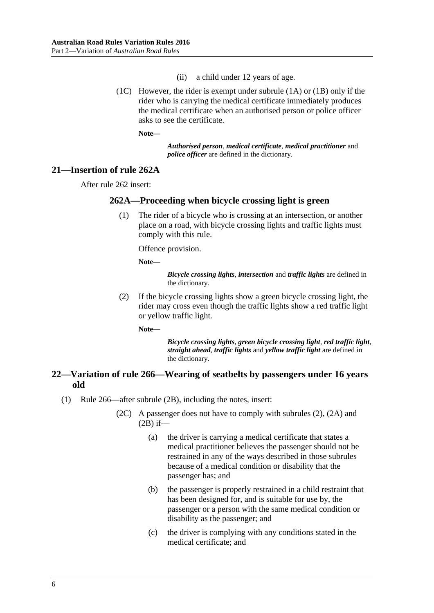- (ii) a child under 12 years of age.
- (1C) However, the rider is exempt under subrule (1A) or (1B) only if the rider who is carrying the medical certificate immediately produces the medical certificate when an authorised person or police officer asks to see the certificate.

**Note—**

*Authorised person*, *medical certificate*, *medical practitioner* and *police officer* are defined in the dictionary.

# <span id="page-5-0"></span>**21—Insertion of rule 262A**

After rule 262 insert:

# **262A—Proceeding when bicycle crossing light is green**

(1) The rider of a bicycle who is crossing at an intersection, or another place on a road, with bicycle crossing lights and traffic lights must comply with this rule.

Offence provision.

**Note—**

*Bicycle crossing lights*, *intersection* and *traffic lights* are defined in the dictionary.

(2) If the bicycle crossing lights show a green bicycle crossing light, the rider may cross even though the traffic lights show a red traffic light or yellow traffic light.

**Note—**

*Bicycle crossing lights*, *green bicycle crossing light*, *red traffic light*, *straight ahead*, *traffic lights* and *yellow traffic light* are defined in the dictionary.

# <span id="page-5-1"></span>**22—Variation of rule 266—Wearing of seatbelts by passengers under 16 years old**

- (1) Rule 266—after subrule (2B), including the notes, insert:
	- (2C) A passenger does not have to comply with subrules (2), (2A) and  $(2B)$  if-
		- (a) the driver is carrying a medical certificate that states a medical practitioner believes the passenger should not be restrained in any of the ways described in those subrules because of a medical condition or disability that the passenger has; and
		- (b) the passenger is properly restrained in a child restraint that has been designed for, and is suitable for use by, the passenger or a person with the same medical condition or disability as the passenger; and
		- (c) the driver is complying with any conditions stated in the medical certificate; and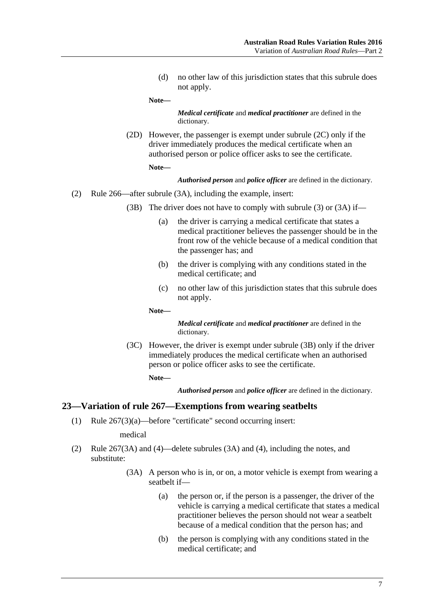(d) no other law of this jurisdiction states that this subrule does not apply.

**Note—**

*Medical certificate* and *medical practitioner* are defined in the dictionary.

(2D) However, the passenger is exempt under subrule (2C) only if the driver immediately produces the medical certificate when an authorised person or police officer asks to see the certificate. **Note—**

*Authorised person* and *police officer* are defined in the dictionary.

- (2) Rule 266—after subrule (3A), including the example, insert:
	- (3B) The driver does not have to comply with subrule (3) or (3A) if—
		- (a) the driver is carrying a medical certificate that states a medical practitioner believes the passenger should be in the front row of the vehicle because of a medical condition that the passenger has; and
		- (b) the driver is complying with any conditions stated in the medical certificate; and
		- (c) no other law of this jurisdiction states that this subrule does not apply.

**Note—**

*Medical certificate* and *medical practitioner* are defined in the dictionary.

(3C) However, the driver is exempt under subrule (3B) only if the driver immediately produces the medical certificate when an authorised person or police officer asks to see the certificate.

**Note—**

*Authorised person* and *police officer* are defined in the dictionary.

## <span id="page-6-0"></span>**23—Variation of rule 267—Exemptions from wearing seatbelts**

(1) Rule 267(3)(a)—before "certificate" second occurring insert:

medical

- (2) Rule 267(3A) and (4)—delete subrules (3A) and (4), including the notes, and substitute:
	- (3A) A person who is in, or on, a motor vehicle is exempt from wearing a seatbelt if—
		- (a) the person or, if the person is a passenger, the driver of the vehicle is carrying a medical certificate that states a medical practitioner believes the person should not wear a seatbelt because of a medical condition that the person has; and
		- (b) the person is complying with any conditions stated in the medical certificate; and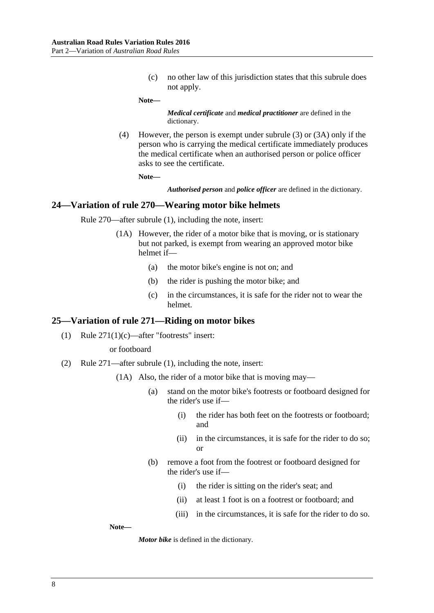(c) no other law of this jurisdiction states that this subrule does not apply.

**Note—**

*Medical certificate* and *medical practitioner* are defined in the dictionary.

(4) However, the person is exempt under subrule (3) or (3A) only if the person who is carrying the medical certificate immediately produces the medical certificate when an authorised person or police officer asks to see the certificate.

**Note—**

*Authorised person* and *police officer* are defined in the dictionary.

#### <span id="page-7-0"></span>**24—Variation of rule 270—Wearing motor bike helmets**

Rule 270—after subrule (1), including the note, insert:

- (1A) However, the rider of a motor bike that is moving, or is stationary but not parked, is exempt from wearing an approved motor bike helmet if—
	- (a) the motor bike's engine is not on; and
	- (b) the rider is pushing the motor bike; and
	- (c) in the circumstances, it is safe for the rider not to wear the helmet.

#### <span id="page-7-1"></span>**25—Variation of rule 271—Riding on motor bikes**

(1) Rule 271(1)(c)—after "footrests" insert:

#### or footboard

- (2) Rule 271—after subrule (1), including the note, insert:
	- (1A) Also, the rider of a motor bike that is moving may—
		- (a) stand on the motor bike's footrests or footboard designed for the rider's use if—
			- (i) the rider has both feet on the footrests or footboard; and
			- (ii) in the circumstances, it is safe for the rider to do so; or
		- (b) remove a foot from the footrest or footboard designed for the rider's use if—
			- (i) the rider is sitting on the rider's seat; and
			- (ii) at least 1 foot is on a footrest or footboard; and
			- (iii) in the circumstances, it is safe for the rider to do so.

**Note—**

*Motor bike* is defined in the dictionary.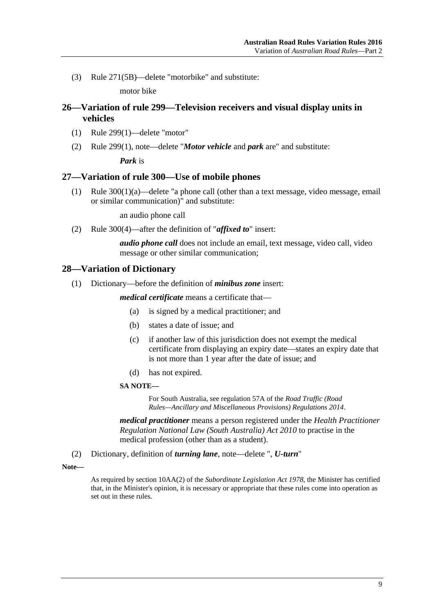(3) Rule 271(5B)—delete "motorbike" and substitute:

motor bike

# <span id="page-8-0"></span>**26—Variation of rule 299—Television receivers and visual display units in vehicles**

- (1) Rule 299(1)—delete "motor"
- (2) Rule 299(1), note—delete "*Motor vehicle* and *park* are" and substitute:

*Park* is

### <span id="page-8-1"></span>**27—Variation of rule 300—Use of mobile phones**

(1) Rule 300(1)(a)—delete "a phone call (other than a text message, video message, email or similar communication)" and substitute:

an audio phone call

(2) Rule 300(4)—after the definition of "*affixed to*" insert:

*audio phone call* does not include an email, text message, video call, video message or other similar communication;

### <span id="page-8-2"></span>**28—Variation of Dictionary**

(1) Dictionary—before the definition of *minibus zone* insert:

*medical certificate* means a certificate that—

- (a) is signed by a medical practitioner; and
- (b) states a date of issue; and
- (c) if another law of this jurisdiction does not exempt the medical certificate from displaying an expiry date—states an expiry date that is not more than 1 year after the date of issue; and
- (d) has not expired.

#### **SA NOTE—**

For South Australia, see regulation 57A of the *[Road Traffic \(Road](http://www.legislation.sa.gov.au/index.aspx?action=legref&type=act&legtitle=Road%20Traffic%20(Road%20Rules%E2%80%94Ancillary%20and%20Miscellaneous%20Provisions)%20Regulations%202014)  [Rules—Ancillary and Miscellaneous Provisions\) Regulations](http://www.legislation.sa.gov.au/index.aspx?action=legref&type=act&legtitle=Road%20Traffic%20(Road%20Rules%E2%80%94Ancillary%20and%20Miscellaneous%20Provisions)%20Regulations%202014) 2014*.

*medical practitioner* means a person registered under the *[Health Practitioner](http://www.legislation.sa.gov.au/index.aspx?action=legref&type=act&legtitle=Health%20Practitioner%20Regulation%20National%20Law%20(South%20Australia)%20Act%202010)  [Regulation National Law \(South Australia\) Act](http://www.legislation.sa.gov.au/index.aspx?action=legref&type=act&legtitle=Health%20Practitioner%20Regulation%20National%20Law%20(South%20Australia)%20Act%202010) 2010* to practise in the medical profession (other than as a student).

(2) Dictionary, definition of *turning lane*, note—delete ", *U-turn*"

**Note—**

As required by section 10AA(2) of the *[Subordinate Legislation Act](http://www.legislation.sa.gov.au/index.aspx?action=legref&type=act&legtitle=Subordinate%20Legislation%20Act%201978) 1978*, the Minister has certified that, in the Minister's opinion, it is necessary or appropriate that these rules come into operation as set out in these rules.